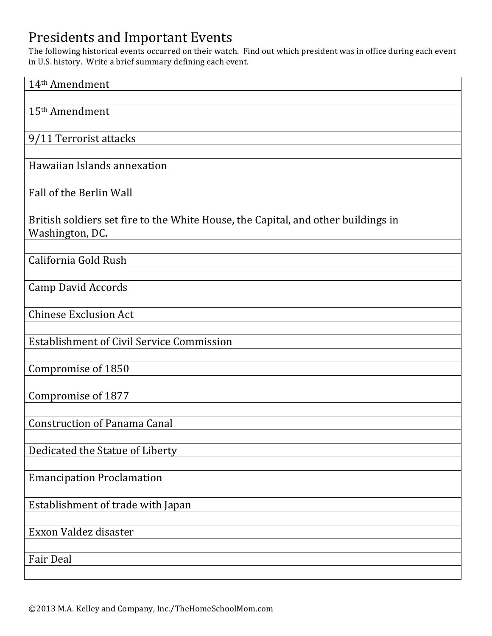## Presidents and Important Events

The following historical events occurred on their watch. Find out which president was in office during each event in U.S. history. Write a brief summary defining each event.

| 14 <sup>th</sup> Amendment                                                                           |
|------------------------------------------------------------------------------------------------------|
| 15 <sup>th</sup> Amendment                                                                           |
|                                                                                                      |
| 9/11 Terrorist attacks                                                                               |
|                                                                                                      |
| Hawaiian Islands annexation                                                                          |
| Fall of the Berlin Wall                                                                              |
|                                                                                                      |
| British soldiers set fire to the White House, the Capital, and other buildings in<br>Washington, DC. |
| California Gold Rush                                                                                 |
|                                                                                                      |
| <b>Camp David Accords</b>                                                                            |
|                                                                                                      |
| <b>Chinese Exclusion Act</b>                                                                         |
| <b>Establishment of Civil Service Commission</b>                                                     |
|                                                                                                      |
| Compromise of 1850                                                                                   |
|                                                                                                      |
| Compromise of 1877                                                                                   |
| <b>Construction of Panama Canal</b>                                                                  |
|                                                                                                      |
| Dedicated the Statue of Liberty                                                                      |
|                                                                                                      |
| <b>Emancipation Proclamation</b>                                                                     |
| Establishment of trade with Japan                                                                    |
|                                                                                                      |
| Exxon Valdez disaster                                                                                |
|                                                                                                      |
| <b>Fair Deal</b>                                                                                     |
|                                                                                                      |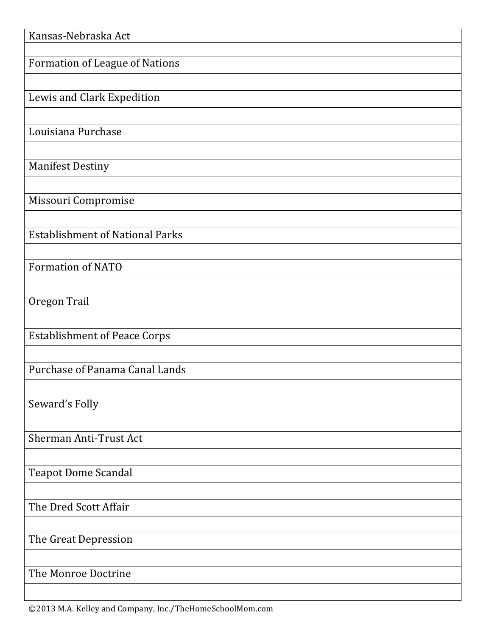| Kansas-Nebraska Act                    |
|----------------------------------------|
| <b>Formation of League of Nations</b>  |
|                                        |
| Lewis and Clark Expedition             |
|                                        |
| Louisiana Purchase                     |
|                                        |
| <b>Manifest Destiny</b>                |
| Missouri Compromise                    |
|                                        |
| <b>Establishment of National Parks</b> |
|                                        |
| <b>Formation of NATO</b>               |
| Oregon Trail                           |
|                                        |
| <b>Establishment of Peace Corps</b>    |
|                                        |
| Purchase of Panama Canal Lands         |
|                                        |
| Seward's Folly                         |
| Sherman Anti-Trust Act                 |
|                                        |
| <b>Teapot Dome Scandal</b>             |
|                                        |
| The Dred Scott Affair                  |
|                                        |
| The Great Depression                   |
| The Monroe Doctrine                    |
|                                        |